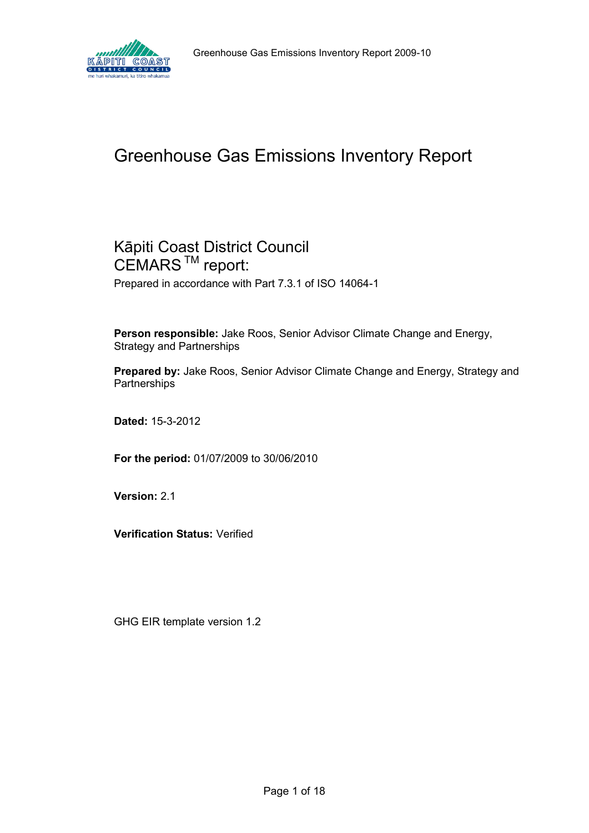

# Greenhouse Gas Emissions Inventory Report

# Kāpiti Coast District Council CEMARS<sup>™</sup> report:

Prepared in accordance with Part 7.3.1 of ISO 14064-1

**Person responsible:** Jake Roos, Senior Advisor Climate Change and Energy, Strategy and Partnerships

**Prepared by:** Jake Roos, Senior Advisor Climate Change and Energy, Strategy and **Partnerships** 

**Dated:** 15-3-2012

**For the period:** 01/07/2009 to 30/06/2010

**Version:** 2.1

**Verification Status:** Verified

GHG EIR template version 1.2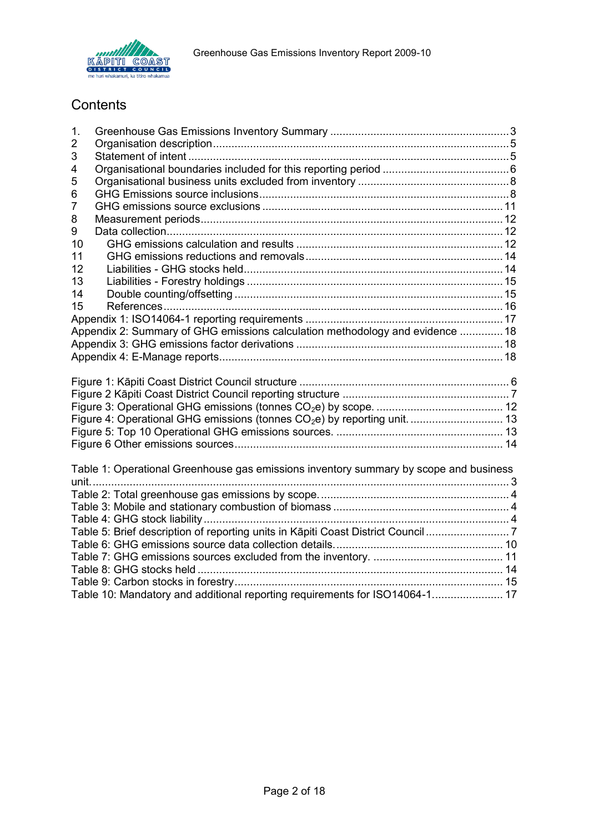

# **Contents**

| 1.             |                                                                                       |  |
|----------------|---------------------------------------------------------------------------------------|--|
| $\overline{2}$ |                                                                                       |  |
| 3              |                                                                                       |  |
| 4              |                                                                                       |  |
| 5              |                                                                                       |  |
| 6              |                                                                                       |  |
| $\overline{7}$ |                                                                                       |  |
| 8              |                                                                                       |  |
| 9              |                                                                                       |  |
| 10             |                                                                                       |  |
| 11             |                                                                                       |  |
| 12             |                                                                                       |  |
| 13             |                                                                                       |  |
| 14             |                                                                                       |  |
| 15             |                                                                                       |  |
|                |                                                                                       |  |
|                | Appendix 2: Summary of GHG emissions calculation methodology and evidence  18         |  |
|                |                                                                                       |  |
|                |                                                                                       |  |
|                |                                                                                       |  |
|                |                                                                                       |  |
|                |                                                                                       |  |
|                |                                                                                       |  |
|                |                                                                                       |  |
|                |                                                                                       |  |
|                | Figure 4: Operational GHG emissions (tonnes CO <sub>2</sub> e) by reporting unit.  13 |  |
|                |                                                                                       |  |
|                |                                                                                       |  |
|                |                                                                                       |  |
|                | Table 1: Operational Greenhouse gas emissions inventory summary by scope and business |  |
|                |                                                                                       |  |
|                |                                                                                       |  |
|                |                                                                                       |  |
|                |                                                                                       |  |
|                | Table 5: Brief description of reporting units in Kāpiti Coast District Council 7      |  |
|                |                                                                                       |  |
|                |                                                                                       |  |
|                |                                                                                       |  |
|                | Table 10: Mandatory and additional reporting requirements for ISO14064-1 17           |  |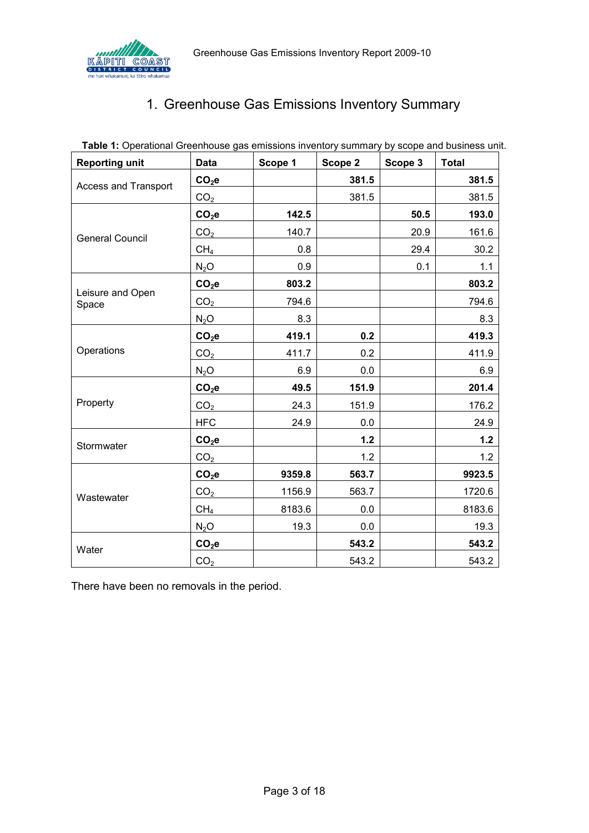<span id="page-2-0"></span>

# 1. Greenhouse Gas Emissions Inventory Summary

<span id="page-2-1"></span>

| <b>Reporting unit</b>       | <b>Data</b>     | Scope 1 | Scope 2 | Scope 3 | <b>Total</b> |
|-----------------------------|-----------------|---------|---------|---------|--------------|
| <b>Access and Transport</b> | $CO2$ e         |         | 381.5   |         | 381.5        |
|                             | CO <sub>2</sub> |         | 381.5   |         | 381.5        |
|                             | $CO2$ e         | 142.5   |         | 50.5    | 193.0        |
| <b>General Council</b>      | CO <sub>2</sub> | 140.7   |         | 20.9    | 161.6        |
|                             | CH <sub>4</sub> | 0.8     |         | 29.4    | 30.2         |
|                             | $N_2O$          | 0.9     |         | 0.1     | 1.1          |
|                             | $CO2$ e         | 803.2   |         |         | 803.2        |
| Leisure and Open<br>Space   | CO <sub>2</sub> | 794.6   |         |         | 794.6        |
|                             | $N_2O$          | 8.3     |         |         | 8.3          |
|                             | $CO2$ e         | 419.1   | 0.2     |         | 419.3        |
| Operations                  | CO <sub>2</sub> | 411.7   | 0.2     |         | 411.9        |
|                             | $N_2O$          | 6.9     | 0.0     |         | 6.9          |
|                             | $CO2$ e         | 49.5    | 151.9   |         | 201.4        |
| Property                    | CO <sub>2</sub> | 24.3    | 151.9   |         | 176.2        |
|                             | <b>HFC</b>      | 24.9    | $0.0\,$ |         | 24.9         |
| Stormwater                  | $CO2$ e         |         | $1.2$   |         | $1.2$        |
|                             | CO <sub>2</sub> |         | 1.2     |         | 1.2          |
|                             | $CO2$ e         | 9359.8  | 563.7   |         | 9923.5       |
| Wastewater                  | CO <sub>2</sub> | 1156.9  | 563.7   |         | 1720.6       |
|                             | CH <sub>4</sub> | 8183.6  | 0.0     |         | 8183.6       |
|                             | $N_2O$          | 19.3    | 0.0     |         | 19.3         |
| Water                       | $CO2$ e         |         | 543.2   |         | 543.2        |
|                             | CO <sub>2</sub> |         | 543.2   |         | 543.2        |

**Table 1:** Operational Greenhouse gas emissions inventory summary by scope and business unit.

There have been no removals in the period.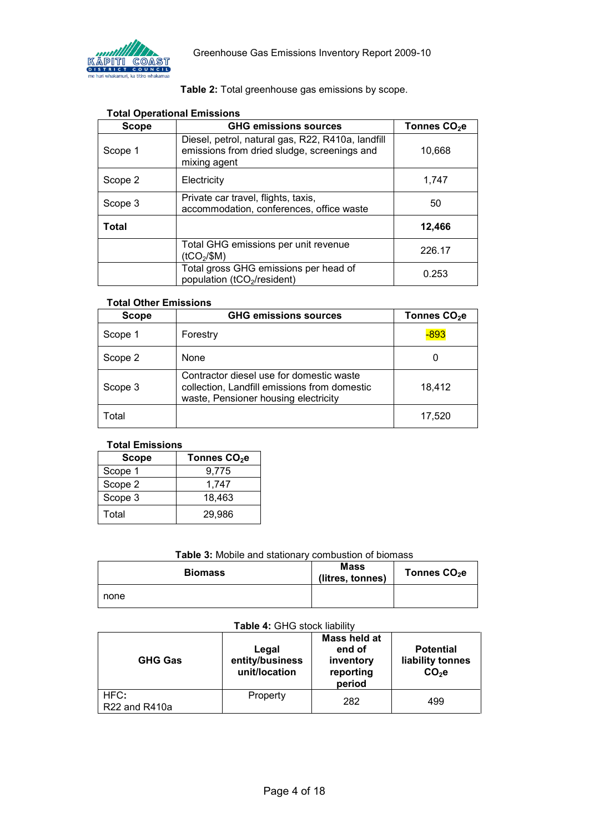

### **Table 2:** Total greenhouse gas emissions by scope.

<span id="page-3-0"></span>

| Scope   | <b>GHG emissions sources</b>                                                                                     | Tonnes CO <sub>2</sub> e |
|---------|------------------------------------------------------------------------------------------------------------------|--------------------------|
| Scope 1 | Diesel, petrol, natural gas, R22, R410a, landfill<br>emissions from dried sludge, screenings and<br>mixing agent | 10,668                   |
| Scope 2 | Electricity                                                                                                      | 1,747                    |
| Scope 3 | Private car travel, flights, taxis,<br>accommodation, conferences, office waste                                  | 50                       |
| Total   |                                                                                                                  | 12,466                   |
|         | Total GHG emissions per unit revenue<br>(tCO <sub>2</sub> /\$M)                                                  | 226.17                   |
|         | Total gross GHG emissions per head of<br>population (tCO <sub>2</sub> /resident)                                 | 0.253                    |

### **Total Operational Emissions**

### **Total Other Emissions**

| <b>Scope</b> | <b>GHG emissions sources</b>                                                                                                     | Tonnes CO <sub>2</sub> e |
|--------------|----------------------------------------------------------------------------------------------------------------------------------|--------------------------|
| Scope 1      | Forestry                                                                                                                         | $-893$                   |
| Scope 2      | <b>None</b>                                                                                                                      | O                        |
| Scope 3      | Contractor diesel use for domestic waste<br>collection, Landfill emissions from domestic<br>waste, Pensioner housing electricity | 18,412                   |
| Total        |                                                                                                                                  | 17,520                   |

#### **Total Emissions**

| <b>Scope</b> | Tonnes CO <sub>2</sub> e |
|--------------|--------------------------|
| Scope 1      | 9,775                    |
| Scope 2      | 1,747                    |
| Scope 3      | 18,463                   |
| Total        | 29.986                   |

### **Table 3:** Mobile and stationary combustion of biomass

<span id="page-3-1"></span>

| <b>Biomass</b> | <b>Mass</b><br>(litres, tonnes) | Tonnes CO <sub>2</sub> e |
|----------------|---------------------------------|--------------------------|
| none           |                                 |                          |

### **Table 4:** GHG stock liability

<span id="page-3-2"></span>

| <b>GHG Gas</b>                                 | Legal<br>entity/business<br>unit/location | Mass held at<br>end of<br>inventory<br>reporting<br>period | <b>Potential</b><br>liability tonnes<br>$CO2$ e |
|------------------------------------------------|-------------------------------------------|------------------------------------------------------------|-------------------------------------------------|
| HFC:<br>R <sub>22</sub> and R <sub>410</sub> a | Property                                  | 282                                                        | 499                                             |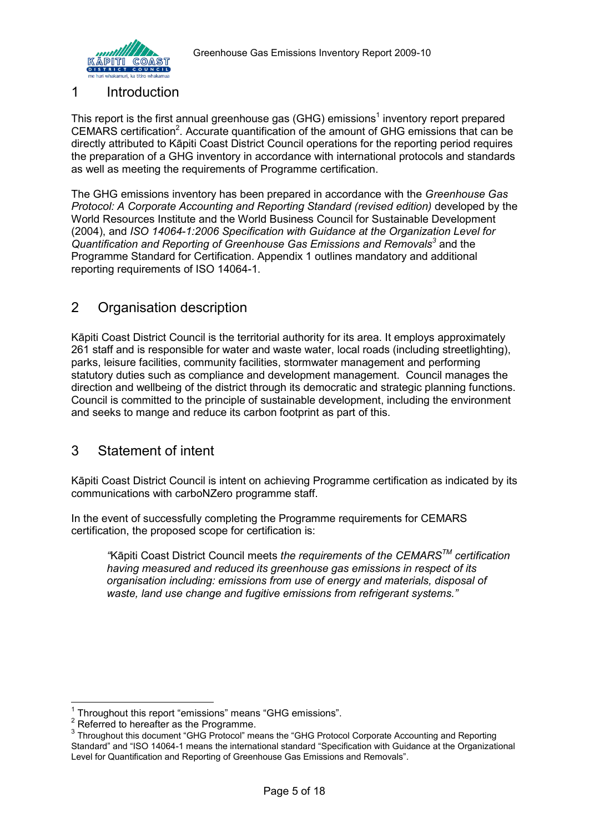

### 1 Introduction

This report is the first annual greenhouse gas (GHG) emissions<sup>1</sup> inventory report prepared CEMARS certification<sup>2</sup>. Accurate quantification of the amount of GHG emissions that can be directly attributed to Kāpiti Coast District Council operations for the reporting period requires the preparation of a GHG inventory in accordance with international protocols and standards as well as meeting the requirements of Programme certification.

The GHG emissions inventory has been prepared in accordance with the *Greenhouse Gas Protocol: A Corporate Accounting and Reporting Standard (revised edition)* developed by the World Resources Institute and the World Business Council for Sustainable Development (2004), and *ISO 14064-1:2006 Specification with Guidance at the Organization Level for Quantification and Reporting of Greenhouse Gas Emissions and Removals<sup>3</sup>* and the Programme Standard for Certification. Appendix 1 outlines mandatory and additional reporting requirements of ISO 14064-1.

# <span id="page-4-0"></span>2 Organisation description

Kāpiti Coast District Council is the territorial authority for its area. It employs approximately 261 staff and is responsible for water and waste water, local roads (including streetlighting), parks, leisure facilities, community facilities, stormwater management and performing statutory duties such as compliance and development management. Council manages the direction and wellbeing of the district through its democratic and strategic planning functions. Council is committed to the principle of sustainable development, including the environment and seeks to mange and reduce its carbon footprint as part of this.

# <span id="page-4-1"></span>3 Statement of intent

Kāpiti Coast District Council is intent on achieving Programme certification as indicated by its communications with carboNZero programme staff.

In the event of successfully completing the Programme requirements for CEMARS certification, the proposed scope for certification is:

*"*Kāpiti Coast District Council meets *the requirements of the CEMARSTM certification having measured and reduced its greenhouse gas emissions in respect of its organisation including: emissions from use of energy and materials, disposal of waste, land use change and fugitive emissions from refrigerant systems."*

 1 Throughout this report "emissions" means "GHG emissions".

 $2^2$  Referred to hereafter as the Programme.

<sup>&</sup>lt;sup>3</sup> Throughout this document "GHG Protocol" means the "GHG Protocol Corporate Accounting and Reporting Standard" and "ISO 14064-1 means the international standard "Specification with Guidance at the Organizational Level for Quantification and Reporting of Greenhouse Gas Emissions and Removals".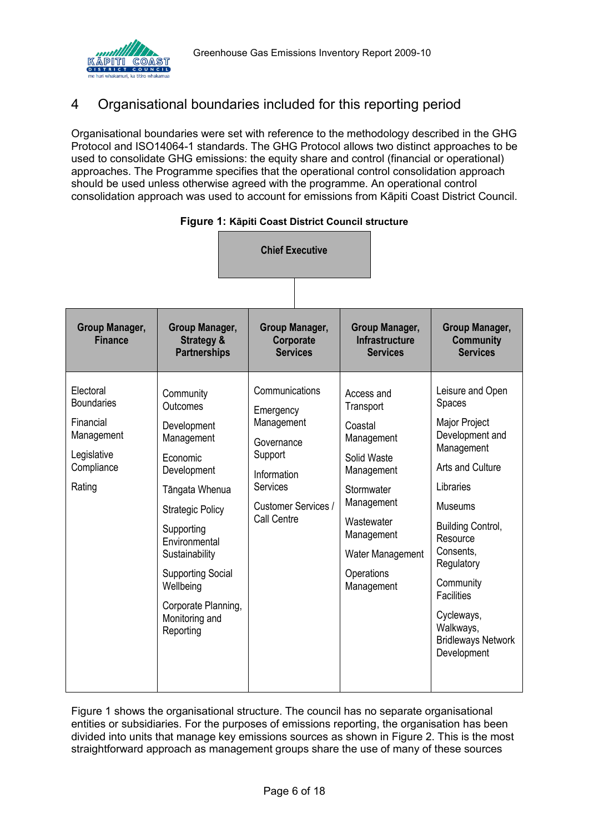

# <span id="page-5-0"></span>4 Organisational boundaries included for this reporting period

Organisational boundaries were set with reference to the methodology described in the GHG Protocol and ISO14064-1 standards. The GHG Protocol allows two distinct approaches to be used to consolidate GHG emissions: the equity share and control (financial or operational) approaches. The Programme specifies that the operational control consolidation approach should be used unless otherwise agreed with the programme. An operational control consolidation approach was used to account for emissions from Kāpiti Coast District Council.

<span id="page-5-1"></span>

|                                                                                                  |                                                                                                                                                                                                                                                                            | <b>Chief Executive</b>                                                                                                                     |                                                                                                                                                                                       |                                                                                                                                                                                                                                                                                                      |
|--------------------------------------------------------------------------------------------------|----------------------------------------------------------------------------------------------------------------------------------------------------------------------------------------------------------------------------------------------------------------------------|--------------------------------------------------------------------------------------------------------------------------------------------|---------------------------------------------------------------------------------------------------------------------------------------------------------------------------------------|------------------------------------------------------------------------------------------------------------------------------------------------------------------------------------------------------------------------------------------------------------------------------------------------------|
| Group Manager,<br><b>Finance</b>                                                                 | Group Manager,<br><b>Strategy &amp;</b><br><b>Partnerships</b>                                                                                                                                                                                                             | Group Manager,<br>Corporate<br><b>Services</b>                                                                                             | Group Manager,<br><b>Infrastructure</b><br><b>Services</b>                                                                                                                            | Group Manager,<br><b>Community</b><br><b>Services</b>                                                                                                                                                                                                                                                |
| Electoral<br><b>Boundaries</b><br>Financial<br>Management<br>Legislative<br>Compliance<br>Rating | Community<br>Outcomes<br>Development<br>Management<br>Economic<br>Development<br>Tāngata Whenua<br><b>Strategic Policy</b><br>Supporting<br>Environmental<br>Sustainability<br><b>Supporting Social</b><br>Wellbeing<br>Corporate Planning,<br>Monitoring and<br>Reporting | Communications<br>Emergency<br>Management<br>Governance<br>Support<br>Information<br><b>Services</b><br>Customer Services /<br>Call Centre | Access and<br>Transport<br>Coastal<br>Management<br>Solid Waste<br>Management<br>Stormwater<br>Management<br>Wastewater<br>Management<br>Water Management<br>Operations<br>Management | Leisure and Open<br>Spaces<br>Major Project<br>Development and<br>Management<br>Arts and Culture<br>Libraries<br>Museums<br><b>Building Control,</b><br>Resource<br>Consents,<br>Regulatory<br>Community<br><b>Facilities</b><br>Cycleways,<br>Walkways,<br><b>Bridleways Network</b><br>Development |

| Figure 1: Kāpiti Coast District Council structure |  |  |  |  |  |
|---------------------------------------------------|--|--|--|--|--|
|---------------------------------------------------|--|--|--|--|--|

[Figure 1](#page-5-1) shows the organisational structure. The council has no separate organisational entities or subsidiaries. For the purposes of emissions reporting, the organisation has been divided into units that manage key emissions sources as shown in Figure 2. This is the most straightforward approach as management groups share the use of many of these sources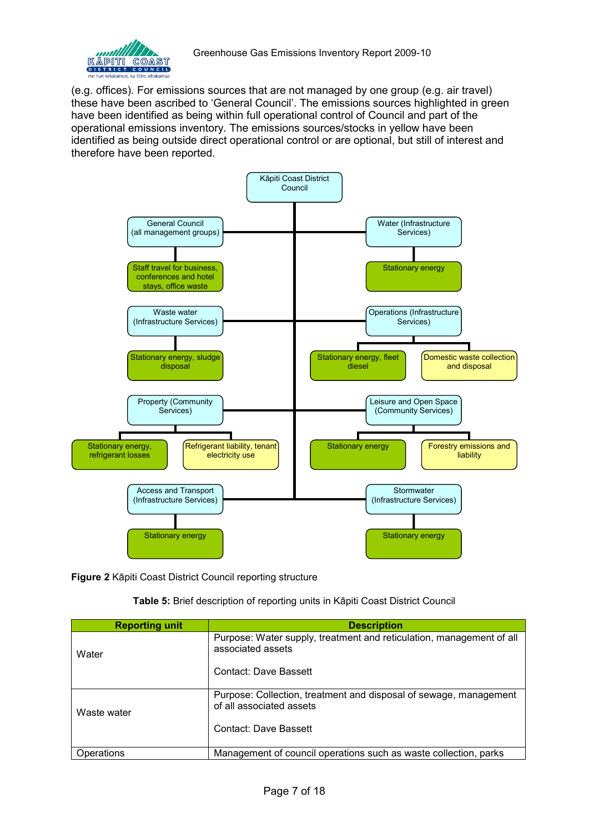

(e.g. offices). For emissions sources that are not managed by one group (e.g. air travel) these have been ascribed to 'General Council'. The emissions sources highlighted in green have been identified as being within full operational control of Council and part of the operational emissions inventory. The emissions sources/stocks in yellow have been identified as being outside direct operational control or are optional, but still of interest and therefore have been reported.



<span id="page-6-0"></span>**Figure 2** Kāpiti Coast District Council reporting structure

**Table 5:** Brief description of reporting units in Kāpiti Coast District Council

<span id="page-6-1"></span>

| <b>Reporting unit</b> | <b>Description</b>                                                                            |
|-----------------------|-----------------------------------------------------------------------------------------------|
| Water                 | Purpose: Water supply, treatment and reticulation, management of all<br>associated assets     |
|                       | <b>Contact: Dave Bassett</b>                                                                  |
| Waste water           | Purpose: Collection, treatment and disposal of sewage, management<br>of all associated assets |
|                       | Contact: Dave Bassett                                                                         |
| Operations            | Management of council operations such as waste collection, parks                              |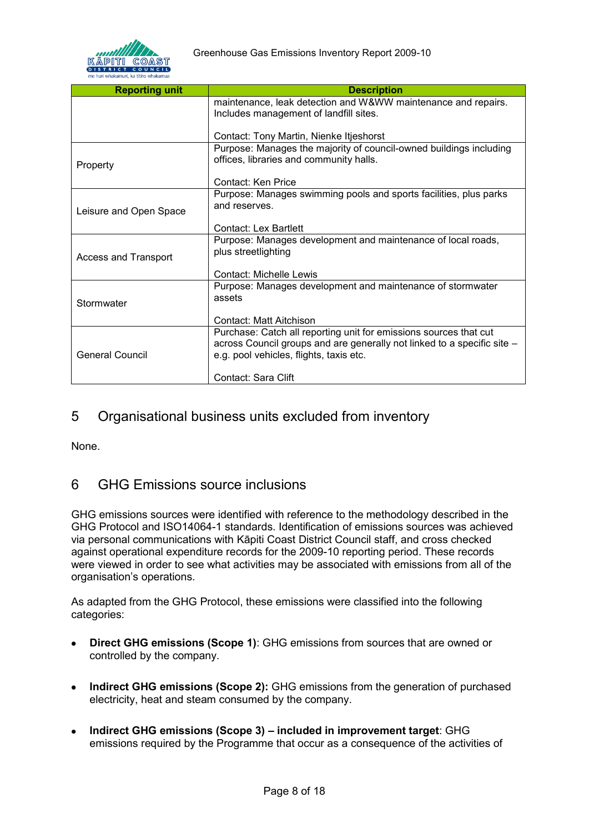

| <b>Reporting unit</b>       | <b>Description</b>                                                      |
|-----------------------------|-------------------------------------------------------------------------|
|                             | maintenance, leak detection and W&WW maintenance and repairs.           |
|                             | Includes management of landfill sites.                                  |
|                             |                                                                         |
|                             | Contact: Tony Martin, Nienke Itjeshorst                                 |
|                             | Purpose: Manages the majority of council-owned buildings including      |
| Property                    | offices, libraries and community halls.                                 |
|                             | Contact: Ken Price                                                      |
|                             | Purpose: Manages swimming pools and sports facilities, plus parks       |
| Leisure and Open Space      | and reserves.                                                           |
|                             | Contact: Lex Bartlett                                                   |
|                             |                                                                         |
|                             | Purpose: Manages development and maintenance of local roads,            |
| <b>Access and Transport</b> | plus streetlighting                                                     |
|                             | <b>Contact: Michelle Lewis</b>                                          |
|                             | Purpose: Manages development and maintenance of stormwater              |
|                             | assets                                                                  |
| Stormwater                  |                                                                         |
|                             | Contact: Matt Aitchison                                                 |
|                             | Purchase: Catch all reporting unit for emissions sources that cut       |
|                             | across Council groups and are generally not linked to a specific site - |
| <b>General Council</b>      | e.g. pool vehicles, flights, taxis etc.                                 |
|                             |                                                                         |
|                             | Contact: Sara Clift                                                     |

### <span id="page-7-0"></span>5 Organisational business units excluded from inventory

None.

### <span id="page-7-1"></span>6 GHG Emissions source inclusions

GHG emissions sources were identified with reference to the methodology described in the GHG Protocol and ISO14064-1 standards. Identification of emissions sources was achieved via personal communications with Kāpiti Coast District Council staff, and cross checked against operational expenditure records for the 2009-10 reporting period. These records were viewed in order to see what activities may be associated with emissions from all of the organisation's operations.

As adapted from the GHG Protocol, these emissions were classified into the following categories:

- **Direct GHG emissions (Scope 1)**: GHG emissions from sources that are owned or  $\bullet$ controlled by the company.
- **Indirect GHG emissions (Scope 2):** GHG emissions from the generation of purchased  $\bullet$ electricity, heat and steam consumed by the company.
- **Indirect GHG emissions (Scope 3) included in improvement target**: GHG  $\bullet$ emissions required by the Programme that occur as a consequence of the activities of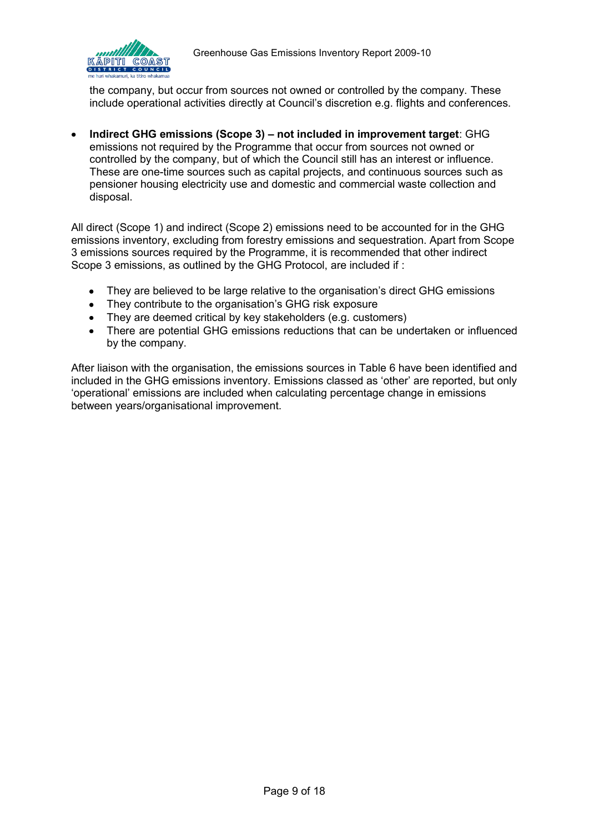

the company, but occur from sources not owned or controlled by the company. These include operational activities directly at Council's discretion e.g. flights and conferences.

**Indirect GHG emissions (Scope 3) – not included in improvement target**: GHG emissions not required by the Programme that occur from sources not owned or controlled by the company, but of which the Council still has an interest or influence. These are one-time sources such as capital projects, and continuous sources such as pensioner housing electricity use and domestic and commercial waste collection and disposal.

All direct (Scope 1) and indirect (Scope 2) emissions need to be accounted for in the GHG emissions inventory, excluding from forestry emissions and sequestration. Apart from Scope 3 emissions sources required by the Programme, it is recommended that other indirect Scope 3 emissions, as outlined by the GHG Protocol, are included if :

- They are believed to be large relative to the organisation's direct GHG emissions
- They contribute to the organisation's GHG risk exposure
- They are deemed critical by key stakeholders (e.g. customers)
- There are potential GHG emissions reductions that can be undertaken or influenced by the company.

After liaison with the organisation, the emissions sources in [Table 6](#page-9-0) have been identified and included in the GHG emissions inventory. Emissions classed as 'other' are reported, but only 'operational' emissions are included when calculating percentage change in emissions between years/organisational improvement.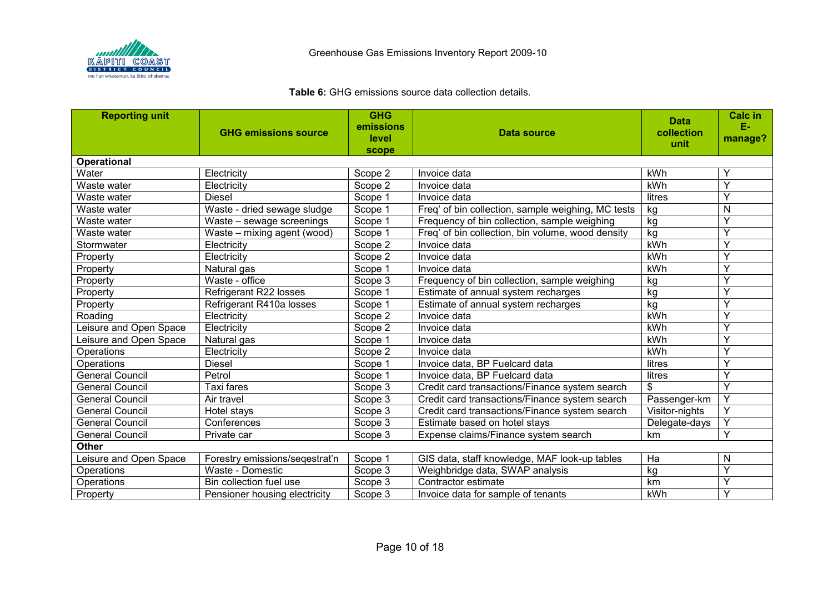

### **Table 6:** GHG emissions source data collection details.

<span id="page-9-0"></span>

| <b>Reporting unit</b>  |                                | <b>GHG</b>     |                                                    | <b>Data</b>    | <b>Calc in</b> |
|------------------------|--------------------------------|----------------|----------------------------------------------------|----------------|----------------|
|                        | <b>GHG emissions source</b>    | emissions      | Data source                                        | collection     | Е.             |
|                        |                                | level<br>scope |                                                    | unit           | manage?        |
| <b>Operational</b>     |                                |                |                                                    |                |                |
| Water                  | Electricity                    | Scope 2        | Invoice data                                       | kWh            |                |
| Waste water            | Electricity                    | Scope 2        | Invoice data                                       | kWh            | $\checkmark$   |
| Waste water            | <b>Diesel</b>                  | Scope 1        | Invoice data                                       | litres         | Υ              |
| Waste water            | Waste - dried sewage sludge    | Scope 1        | Freq' of bin collection, sample weighing, MC tests | kg             | N              |
| Waste water            | Waste - sewage screenings      | Scope 1        | Frequency of bin collection, sample weighing       | kg             | Y              |
| Waste water            | Waste - mixing agent (wood)    | Scope 1        | Freq' of bin collection, bin volume, wood density  | kg             | Y              |
| Stormwater             | Electricity                    | Scope 2        | Invoice data                                       | kWh            | $\checkmark$   |
| Property               | Electricity                    | Scope 2        | Invoice data                                       | kWh            | Υ              |
| Property               | Natural gas                    | Scope 1        | Invoice data                                       | kWh            | Υ              |
| Property               | Waste - office                 | Scope 3        | Frequency of bin collection, sample weighing       | kg             | Y              |
| Property               | Refrigerant R22 losses         | Scope 1        | Estimate of annual system recharges                | kg             | Y              |
| Property               | Refrigerant R410a losses       | Scope 1        | Estimate of annual system recharges                | kg             | Y              |
| Roading                | Electricity                    | Scope 2        | Invoice data                                       | kWh            | Y              |
| Leisure and Open Space | Electricity                    | Scope 2        | Invoice data                                       | kWh            | Y              |
| Leisure and Open Space | Natural gas                    | Scope 1        | Invoice data                                       | kWh            | Y              |
| Operations             | Electricity                    | Scope 2        | Invoice data                                       | kWh            | Y              |
| Operations             | <b>Diesel</b>                  | Scope 1        | Invoice data, BP Fuelcard data                     | litres         | Y              |
| <b>General Council</b> | Petrol                         | Scope 1        | Invoice data, BP Fuelcard data                     | litres         | Υ              |
| <b>General Council</b> | <b>Taxi fares</b>              | Scope 3        | Credit card transactions/Finance system search     | \$             | Y              |
| <b>General Council</b> | Air travel                     | Scope 3        | Credit card transactions/Finance system search     | Passenger-km   | Υ              |
| <b>General Council</b> | Hotel stays                    | Scope 3        | Credit card transactions/Finance system search     | Visitor-nights | Y              |
| <b>General Council</b> | Conferences                    | Scope 3        | Estimate based on hotel stays                      | Delegate-days  | Y              |
| <b>General Council</b> | Private car                    | Scope 3        | Expense claims/Finance system search               | km             | Y              |
| <b>Other</b>           |                                |                |                                                    |                |                |
| Leisure and Open Space | Forestry emissions/seqestrat'n | Scope 1        | GIS data, staff knowledge, MAF look-up tables      | Ha             | N              |
| Operations             | Waste - Domestic               | Scope 3        | Weighbridge data, SWAP analysis                    | kg             | Y              |
| Operations             | Bin collection fuel use        | Scope 3        | Contractor estimate                                | km             | Y              |
| Property               | Pensioner housing electricity  | Scope 3        | Invoice data for sample of tenants                 | kWh            | Y              |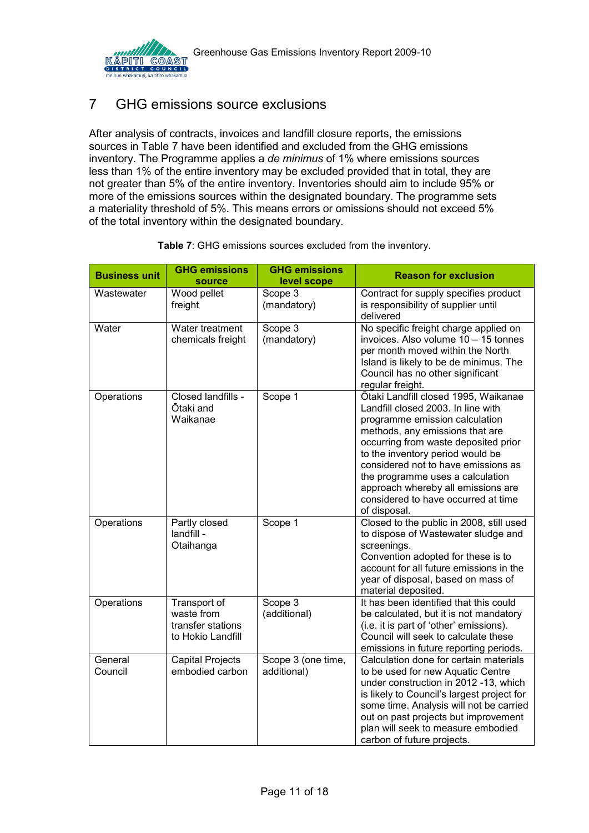

# <span id="page-10-0"></span>7 GHG emissions source exclusions

After analysis of contracts, invoices and landfill closure reports, the emissions sources in [Table 7](#page-10-2) have been identified and excluded from the GHG emissions inventory. The Programme applies a *de minimus* of 1% where emissions sources less than 1% of the entire inventory may be excluded provided that in total, they are not greater than 5% of the entire inventory. Inventories should aim to include 95% or more of the emissions sources within the designated boundary. The programme sets a materiality threshold of 5%. This means errors or omissions should not exceed 5% of the total inventory within the designated boundary.

<span id="page-10-2"></span><span id="page-10-1"></span>

| <b>Business unit</b> | <b>GHG emissions</b><br>source                                       | <b>GHG emissions</b><br>level scope | <b>Reason for exclusion</b>                                                                                                                                                                                                                                                                                                                                                                         |
|----------------------|----------------------------------------------------------------------|-------------------------------------|-----------------------------------------------------------------------------------------------------------------------------------------------------------------------------------------------------------------------------------------------------------------------------------------------------------------------------------------------------------------------------------------------------|
| Wastewater           | Wood pellet<br>freight                                               | Scope 3<br>(mandatory)              | Contract for supply specifies product<br>is responsibility of supplier until<br>delivered                                                                                                                                                                                                                                                                                                           |
| Water                | Water treatment<br>chemicals freight                                 | Scope $3$<br>(mandatory)            | No specific freight charge applied on<br>invoices. Also volume 10 - 15 tonnes<br>per month moved within the North<br>Island is likely to be de minimus. The<br>Council has no other significant<br>regular freight.                                                                                                                                                                                 |
| Operations           | Closed landfills -<br>Ōtaki and<br>Waikanae                          | Scope 1                             | Ōtaki Landfill closed 1995, Waikanae<br>Landfill closed 2003. In line with<br>programme emission calculation<br>methods, any emissions that are<br>occurring from waste deposited prior<br>to the inventory period would be<br>considered not to have emissions as<br>the programme uses a calculation<br>approach whereby all emissions are<br>considered to have occurred at time<br>of disposal. |
| Operations           | Partly closed<br>landfill -<br>Otaihanga                             | Scope 1                             | Closed to the public in 2008, still used<br>to dispose of Wastewater sludge and<br>screenings.<br>Convention adopted for these is to<br>account for all future emissions in the<br>year of disposal, based on mass of<br>material deposited.                                                                                                                                                        |
| Operations           | Transport of<br>waste from<br>transfer stations<br>to Hokio Landfill | Scope 3<br>(additional)             | It has been identified that this could<br>be calculated, but it is not mandatory<br>(i.e. it is part of 'other' emissions).<br>Council will seek to calculate these<br>emissions in future reporting periods.                                                                                                                                                                                       |
| General<br>Council   | Capital Projects<br>embodied carbon                                  | Scope 3 (one time,<br>additional)   | Calculation done for certain materials<br>to be used for new Aquatic Centre<br>under construction in 2012 -13, which<br>is likely to Council's largest project for<br>some time. Analysis will not be carried<br>out on past projects but improvement<br>plan will seek to measure embodied<br>carbon of future projects.                                                                           |

| Table 7: GHG emissions sources excluded from the inventory. |  |
|-------------------------------------------------------------|--|
|-------------------------------------------------------------|--|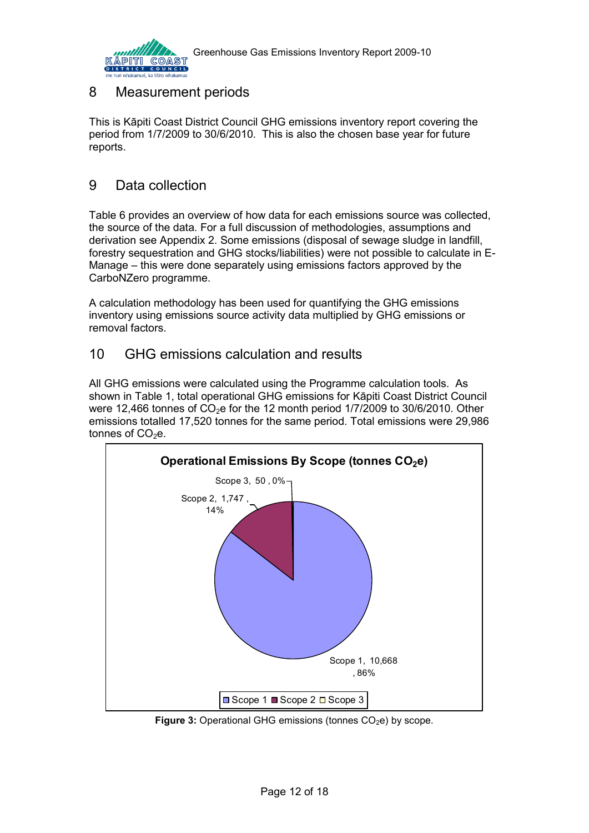

# <span id="page-11-0"></span>8 Measurement periods

This is Kāpiti Coast District Council GHG emissions inventory report covering the period from 1/7/2009 to 30/6/2010. This is also the chosen base year for future reports.

## <span id="page-11-1"></span>9 Data collection

Table 6 provides an overview of how data for each emissions source was collected, the source of the data. For a full discussion of methodologies, assumptions and derivation see Appendix 2. Some emissions (disposal of sewage sludge in landfill, forestry sequestration and GHG stocks/liabilities) were not possible to calculate in E-Manage – this were done separately using emissions factors approved by the CarboNZero programme.

A calculation methodology has been used for quantifying the GHG emissions inventory using emissions source activity data multiplied by GHG emissions or removal factors.

# <span id="page-11-2"></span>10 GHG emissions calculation and results

All GHG emissions were calculated using the Programme calculation tools. As shown in Table 1, total operational GHG emissions for Kāpiti Coast District Council were 12,466 tonnes of  $CO<sub>2</sub>e$  for the 12 month period 1/7/2009 to 30/6/2010. Other emissions totalled 17,520 tonnes for the same period. Total emissions were 29,986 tonnes of  $CO<sub>2</sub>e$ .



<span id="page-11-3"></span>**Figure 3:** Operational GHG emissions (tonnes CO<sub>2</sub>e) by scope.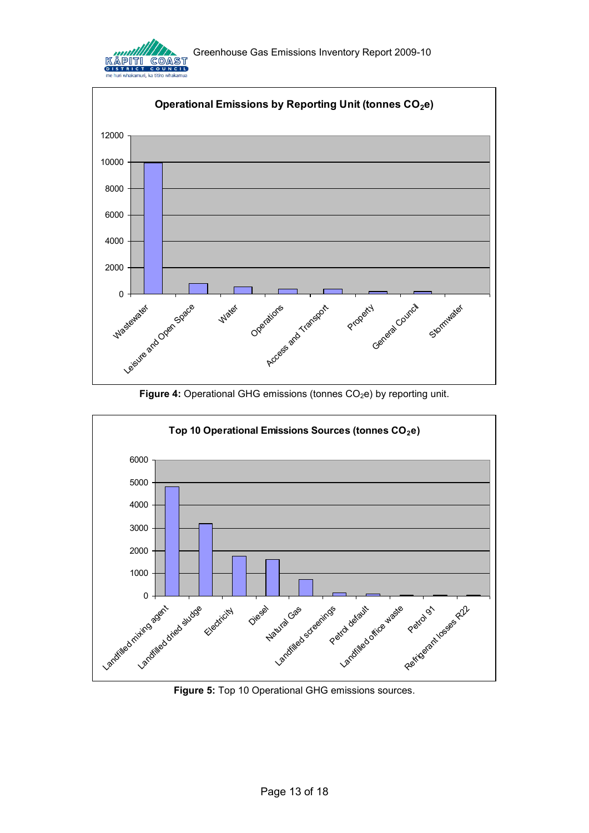



<span id="page-12-0"></span>

<span id="page-12-1"></span>**Figure 5:** Top 10 Operational GHG emissions sources.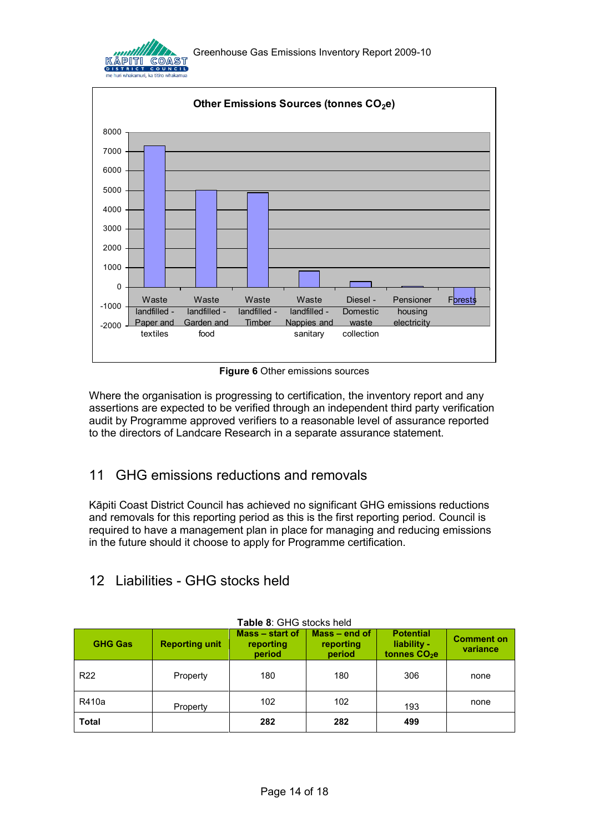



**Figure 6** Other emissions sources

<span id="page-13-2"></span>Where the organisation is progressing to certification, the inventory report and any assertions are expected to be verified through an independent third party verification audit by Programme approved verifiers to a reasonable level of assurance reported to the directors of Landcare Research in a separate assurance statement.

# <span id="page-13-0"></span>11 GHG emissions reductions and removals

Kāpiti Coast District Council has achieved no significant GHG emissions reductions and removals for this reporting period as this is the first reporting period. Council is required to have a management plan in place for managing and reducing emissions in the future should it choose to apply for Programme certification.

# <span id="page-13-1"></span>12 Liabilities - GHG stocks held

<span id="page-13-3"></span>

| <b>GHG Gas</b>  | <b>Reporting unit</b> | Mass – start of<br>reporting<br>period | $Mass - end of$<br>reporting<br>period | <b>Potential</b><br>liability -<br>tonnes CO <sub>2</sub> e | <b>Comment on</b><br>variance |
|-----------------|-----------------------|----------------------------------------|----------------------------------------|-------------------------------------------------------------|-------------------------------|
| R <sub>22</sub> | Property              | 180                                    | 180                                    | 306                                                         | none                          |
| R410a           | Property              | 102                                    | 102                                    | 193                                                         | none                          |
| <b>Total</b>    |                       | 282                                    | 282                                    | 499                                                         |                               |

#### **Table 8**: GHG stocks held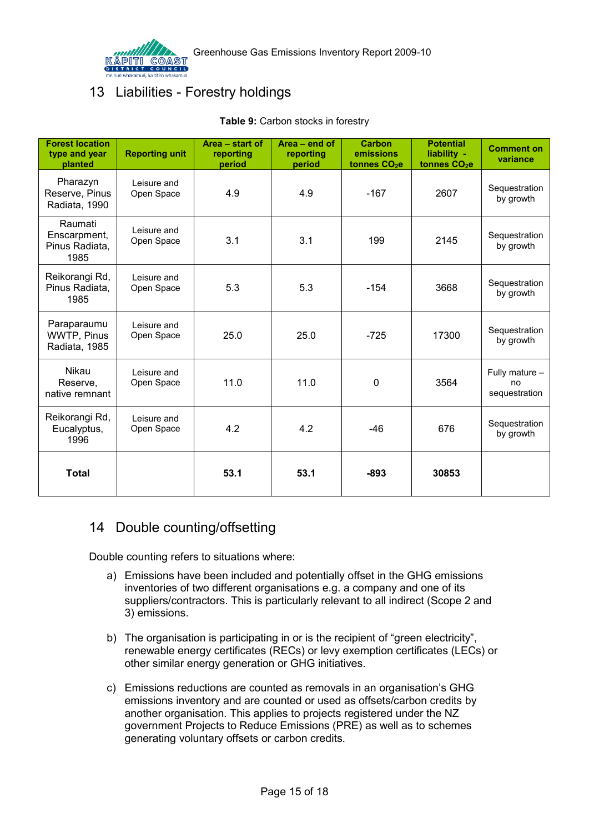

# <span id="page-14-2"></span><span id="page-14-0"></span>13 Liabilities - Forestry holdings

| <b>Forest location</b><br>type and year<br>planted | <b>Reporting unit</b>     | Area - start of<br>reporting<br>period | Area - end of<br>reporting<br>period | Carbon<br>emissions<br>tonnes CO <sub>2</sub> e | <b>Potential</b><br>liability -<br>tonnes CO <sub>2</sub> e | <b>Comment on</b><br>variance         |
|----------------------------------------------------|---------------------------|----------------------------------------|--------------------------------------|-------------------------------------------------|-------------------------------------------------------------|---------------------------------------|
| Pharazyn<br>Reserve, Pinus<br>Radiata, 1990        | Leisure and<br>Open Space | 4.9                                    | 4.9                                  | $-167$                                          | 2607                                                        | Sequestration<br>by growth            |
| Raumati<br>Enscarpment,<br>Pinus Radiata,<br>1985  | Leisure and<br>Open Space | 3.1                                    | 3.1                                  | 199                                             | 2145                                                        | Sequestration<br>by growth            |
| Reikorangi Rd,<br>Pinus Radiata,<br>1985           | Leisure and<br>Open Space | 5.3                                    | 5.3                                  | $-154$                                          | 3668                                                        | Sequestration<br>by growth            |
| Paraparaumu<br>WWTP, Pinus<br>Radiata, 1985        | Leisure and<br>Open Space | 25.0                                   | 25.0                                 | $-725$                                          | 17300                                                       | Sequestration<br>by growth            |
| Nikau<br>Reserve,<br>native remnant                | Leisure and<br>Open Space | 11.0                                   | 11.0                                 | 0                                               | 3564                                                        | Fully mature -<br>no<br>sequestration |
| Reikorangi Rd,<br>Eucalyptus,<br>1996              | Leisure and<br>Open Space | 4.2                                    | 4.2                                  | -46                                             | 676                                                         | Sequestration<br>by growth            |
| <b>Total</b>                                       |                           | 53.1                                   | 53.1                                 | $-893$                                          | 30853                                                       |                                       |

### **Table 9:** Carbon stocks in forestry

# <span id="page-14-1"></span>14 Double counting/offsetting

Double counting refers to situations where:

- a) Emissions have been included and potentially offset in the GHG emissions inventories of two different organisations e.g. a company and one of its suppliers/contractors. This is particularly relevant to all indirect (Scope 2 and 3) emissions.
- b) The organisation is participating in or is the recipient of "green electricity", renewable energy certificates (RECs) or levy exemption certificates (LECs) or other similar energy generation or GHG initiatives.
- c) Emissions reductions are counted as removals in an organisation's GHG emissions inventory and are counted or used as offsets/carbon credits by another organisation. This applies to projects registered under the NZ government Projects to Reduce Emissions (PRE) as well as to schemes generating voluntary offsets or carbon credits.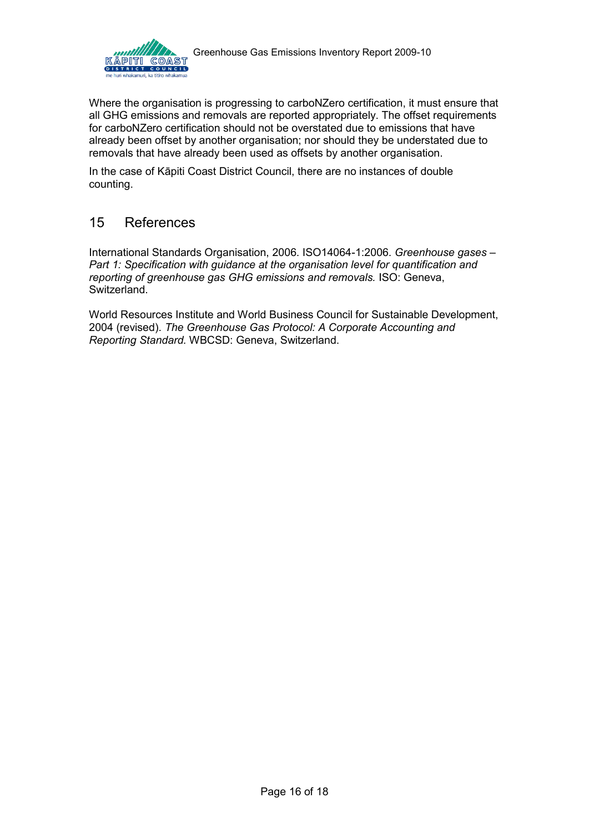

Where the organisation is progressing to carboNZero certification, it must ensure that all GHG emissions and removals are reported appropriately. The offset requirements for carboNZero certification should not be overstated due to emissions that have already been offset by another organisation; nor should they be understated due to removals that have already been used as offsets by another organisation.

In the case of Kāpiti Coast District Council, there are no instances of double counting.

# <span id="page-15-0"></span>15 References

International Standards Organisation, 2006. ISO14064-1:2006. *Greenhouse gases – Part 1: Specification with guidance at the organisation level for quantification and reporting of greenhouse gas GHG emissions and removals.* ISO: Geneva, Switzerland.

World Resources Institute and World Business Council for Sustainable Development, 2004 (revised). *The Greenhouse Gas Protocol: A Corporate Accounting and Reporting Standard.* WBCSD: Geneva, Switzerland.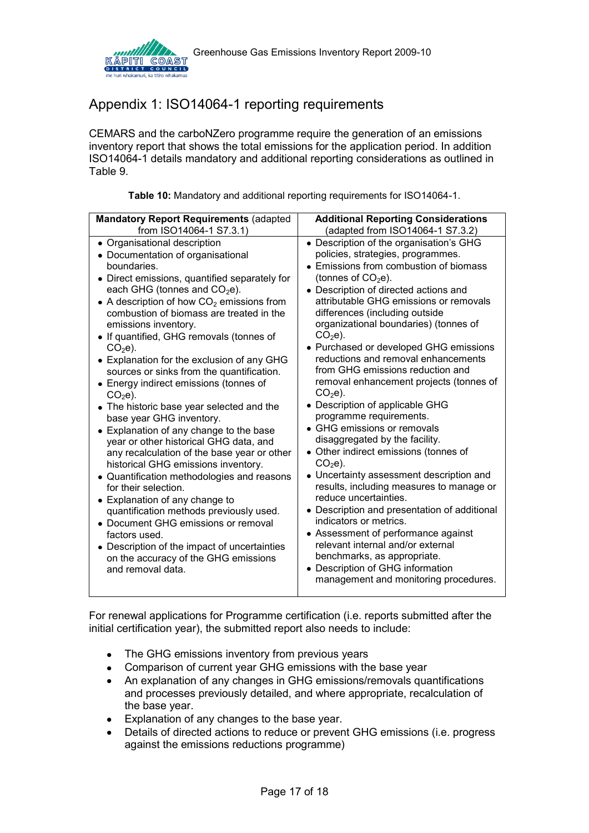

# <span id="page-16-0"></span>Appendix 1: ISO14064-1 reporting requirements

CEMARS and the carboNZero programme require the generation of an emissions inventory report that shows the total emissions for the application period. In addition ISO14064-1 details mandatory and additional reporting considerations as outlined in Table 9.

|  |  |  |  |  |  | Table 10: Mandatory and additional reporting requirements for ISO14064-1. |
|--|--|--|--|--|--|---------------------------------------------------------------------------|
|--|--|--|--|--|--|---------------------------------------------------------------------------|

<span id="page-16-1"></span>

| <b>Mandatory Report Requirements (adapted</b>                                                                                                                                                                                                                                                                                                                                                                                                                                                                                                                                                                                                                                                                                                                                                                                                                                                                                                                                                                                                                               | <b>Additional Reporting Considerations</b>                                                                                                                                                                                                                                                                                                                                                                                                                                                                                                                                                                                                                                                                                                                                                                                                                                                                                                                                                                                                                                     |
|-----------------------------------------------------------------------------------------------------------------------------------------------------------------------------------------------------------------------------------------------------------------------------------------------------------------------------------------------------------------------------------------------------------------------------------------------------------------------------------------------------------------------------------------------------------------------------------------------------------------------------------------------------------------------------------------------------------------------------------------------------------------------------------------------------------------------------------------------------------------------------------------------------------------------------------------------------------------------------------------------------------------------------------------------------------------------------|--------------------------------------------------------------------------------------------------------------------------------------------------------------------------------------------------------------------------------------------------------------------------------------------------------------------------------------------------------------------------------------------------------------------------------------------------------------------------------------------------------------------------------------------------------------------------------------------------------------------------------------------------------------------------------------------------------------------------------------------------------------------------------------------------------------------------------------------------------------------------------------------------------------------------------------------------------------------------------------------------------------------------------------------------------------------------------|
| from ISO14064-1 S7.3.1)                                                                                                                                                                                                                                                                                                                                                                                                                                                                                                                                                                                                                                                                                                                                                                                                                                                                                                                                                                                                                                                     | (adapted from ISO14064-1 S7.3.2)                                                                                                                                                                                                                                                                                                                                                                                                                                                                                                                                                                                                                                                                                                                                                                                                                                                                                                                                                                                                                                               |
| • Organisational description<br>• Documentation of organisational<br>boundaries.<br>• Direct emissions, quantified separately for<br>each GHG (tonnes and $CO2e$ ).<br>• A description of how $CO2$ emissions from<br>combustion of biomass are treated in the<br>emissions inventory.<br>• If quantified, GHG removals (tonnes of<br>$CO2e$ ).<br>• Explanation for the exclusion of any GHG<br>sources or sinks from the quantification.<br>• Energy indirect emissions (tonnes of<br>$CO2e$ ).<br>• The historic base year selected and the<br>base year GHG inventory.<br>• Explanation of any change to the base<br>year or other historical GHG data, and<br>any recalculation of the base year or other<br>historical GHG emissions inventory.<br>• Quantification methodologies and reasons<br>for their selection.<br>• Explanation of any change to<br>quantification methods previously used.<br>• Document GHG emissions or removal<br>factors used.<br>Description of the impact of uncertainties<br>on the accuracy of the GHG emissions<br>and removal data. | • Description of the organisation's GHG<br>policies, strategies, programmes.<br>• Emissions from combustion of biomass<br>(tonnes of $CO2e$ ).<br>• Description of directed actions and<br>attributable GHG emissions or removals<br>differences (including outside<br>organizational boundaries) (tonnes of<br>$CO2e$ ).<br>• Purchased or developed GHG emissions<br>reductions and removal enhancements<br>from GHG emissions reduction and<br>removal enhancement projects (tonnes of<br>$CO2e$ ).<br>• Description of applicable GHG<br>programme requirements.<br>• GHG emissions or removals<br>disaggregated by the facility.<br>• Other indirect emissions (tonnes of<br>$CO2e$ ).<br>• Uncertainty assessment description and<br>results, including measures to manage or<br>reduce uncertainties.<br>• Description and presentation of additional<br>indicators or metrics.<br>• Assessment of performance against<br>relevant internal and/or external<br>benchmarks, as appropriate.<br>• Description of GHG information<br>management and monitoring procedures. |

For renewal applications for Programme certification (i.e. reports submitted after the initial certification year), the submitted report also needs to include:

- The GHG emissions inventory from previous years
- Comparison of current year GHG emissions with the base year
- An explanation of any changes in GHG emissions/removals quantifications and processes previously detailed, and where appropriate, recalculation of the base year.
- Explanation of any changes to the base year.
- Details of directed actions to reduce or prevent GHG emissions (i.e. progress against the emissions reductions programme)